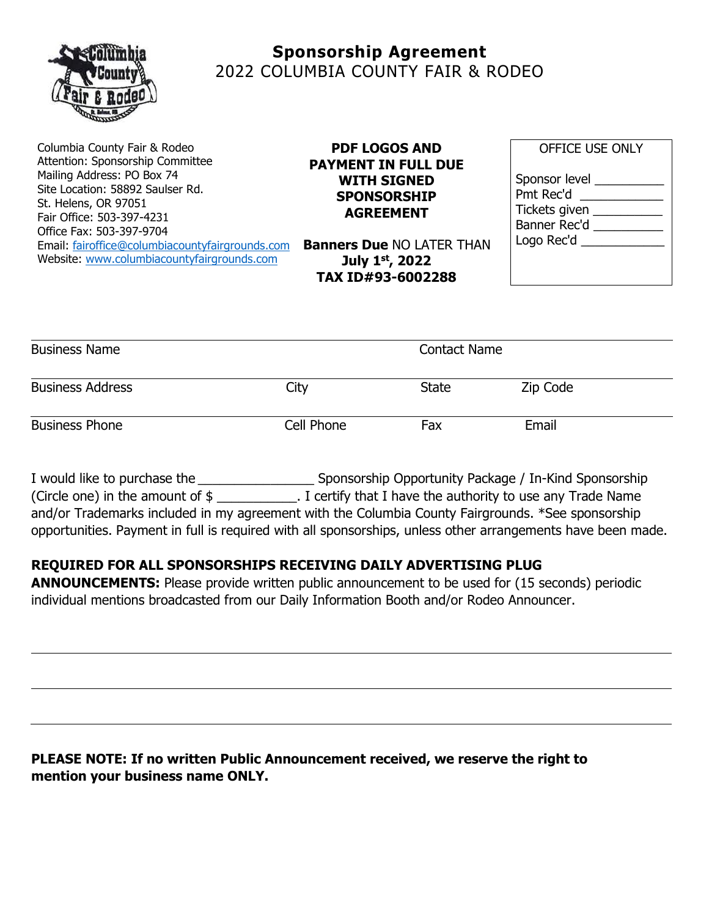

# **Sponsorship Agreement** 2022 COLUMBIA COUNTY FAIR & RODEO

Columbia County Fair & Rodeo Attention: Sponsorship Committee Mailing Address: PO Box 74 Site Location: 58892 Saulser Rd. St. Helens, OR 97051 Fair Office: 503-397-4231 Office Fax: 503-397-9704 Email: [fairoffice@columbiacountyfairgrounds.com](mailto:fairoffice@columbiacountyfairgrounds.com) Website: [www.columbiacountyfairgrounds.com](http://www.columbiacountyfairgrounds.com/) 

#### **PDF LOGOS AND PAYMENT IN FULL DUE WITH SIGNED SPONSORSHIP AGREEMENT**

**Banners Due** NO LATER THAN **July 1 st, 2022 TAX ID#93-6002288**

| <b>OFFICE USE ONLY</b>                                                      |  |  |  |
|-----------------------------------------------------------------------------|--|--|--|
| Sponsor level<br>Pmt Rec'd<br>Tickets given<br>Banner Rec'd<br>Logo Rec'd _ |  |  |  |

| <b>Business Name</b>    |            | <b>Contact Name</b> |          |
|-------------------------|------------|---------------------|----------|
| <b>Business Address</b> | City       | <b>State</b>        | Zip Code |
| <b>Business Phone</b>   | Cell Phone | Fax                 | Email    |

I would like to purchase the \_\_\_\_\_\_\_\_\_\_\_\_\_\_\_\_ Sponsorship Opportunity Package / In-Kind Sponsorship (Circle one) in the amount of \$ \_\_\_\_\_\_\_\_\_\_\_. I certify that I have the authority to use any Trade Name and/or Trademarks included in my agreement with the Columbia County Fairgrounds. \*See sponsorship opportunities. Payment in full is required with all sponsorships, unless other arrangements have been made.

### **REQUIRED FOR ALL SPONSORSHIPS RECEIVING DAILY ADVERTISING PLUG**

**ANNOUNCEMENTS:** Please provide written public announcement to be used for (15 seconds) periodic individual mentions broadcasted from our Daily Information Booth and/or Rodeo Announcer.

## **PLEASE NOTE: If no written Public Announcement received, we reserve the right to mention your business name ONLY.**